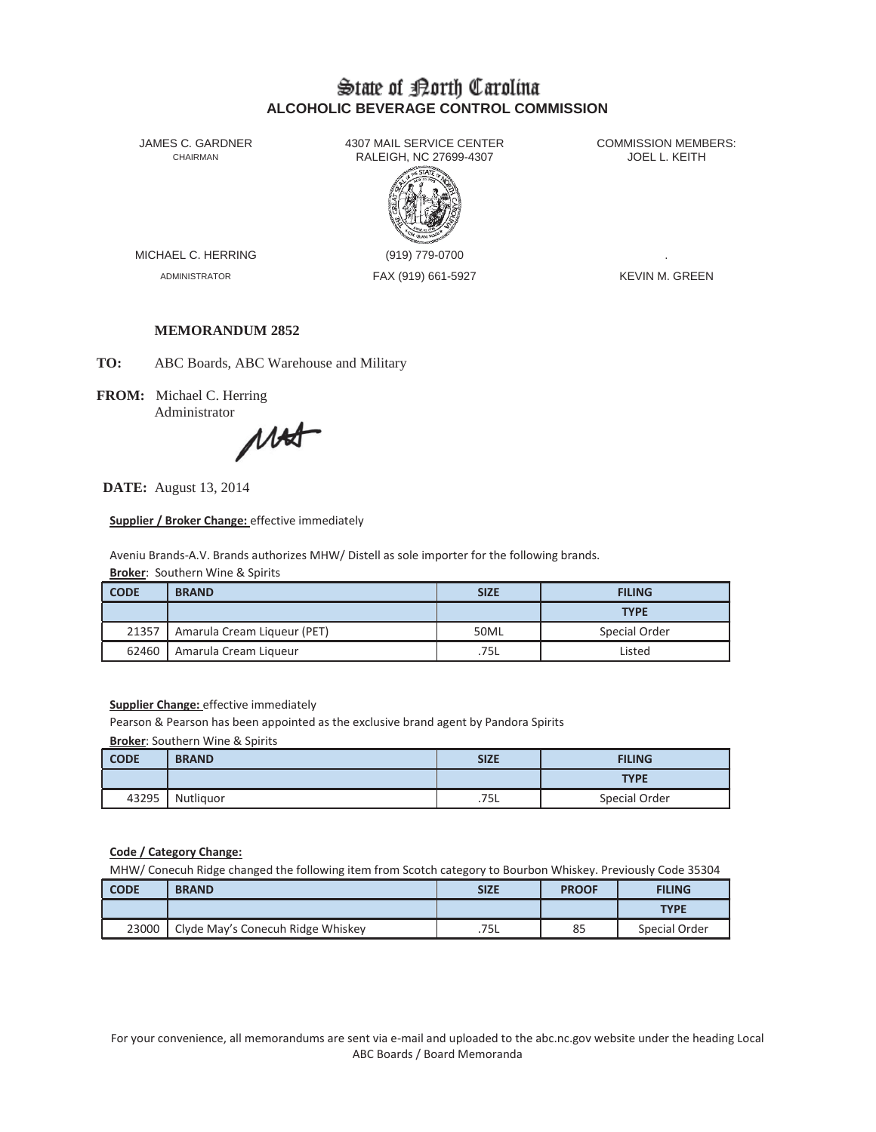# State of Borth Carolina **ALCOHOLIC BEVERAGE CONTROL COMMISSION**

JAMES C. GARDNER 4307 MAIL SERVICE CENTER<br>CHAIRMAN CHAIRMAN RALEIGH, NC 27699-4307 RALEIGH, NC 27699-4307



MICHAEL C. HERRING (919) 779-0700

ADMINISTRATOR FAX (919) 661-5927 FAX (919) 661-5927

### **MEMORANDUM 2852**

**TO:** ABC Boards, ABC Warehouse and Military

**FROM:** Michael C. Herring

Administrator<br>
MA

**DATE:** August 13, 2014

**Supplier / Broker Change:** effective immediately

Aveniu Brands-A.V. Brands authorizes MHW/ Distell as sole importer for the following brands. **Broker:** Southern Wine & Spirits

| <b>CODE</b> | <b>BRAND</b>                | <b>SIZE</b> | <b>FILING</b> |
|-------------|-----------------------------|-------------|---------------|
|             |                             |             | <b>TYPE</b>   |
| 21357       | Amarula Cream Liqueur (PET) | 50ML        | Special Order |
| 62460       | Amarula Cream Liqueur       | .75L        | Listed        |

**Supplier Change: effective immediately** 

Pearson & Pearson has been appointed as the exclusive brand agent by Pandora Spirits

**Broker**: Southern Wine & Spirits

| <b>CODE</b> | <b>BRAND</b> | <b>SIZE</b> | <b>FILING</b> |
|-------------|--------------|-------------|---------------|
|             |              |             | <b>TYPE</b>   |
| 43295       | Nutliquor    | .75L        | Special Order |

**Code / Category Change:**

MHW/ Conecuh Ridge changed the following item from Scotch category to Bourbon Whiskey. Previously Code 35304

| <b>CODE</b> | <b>BRAND</b>                      | <b>SIZE</b> | <b>PROOF</b> | <b>FILING</b> |
|-------------|-----------------------------------|-------------|--------------|---------------|
|             |                                   |             |              | <b>TYPE</b>   |
| 23000       | Clyde May's Conecuh Ridge Whiskey | .75L        | 85           | Special Order |

For your convenience, all memorandums are sent via e-mail and uploaded to the abc.nc.gov website under the heading Local ABC Boards / Board Memoranda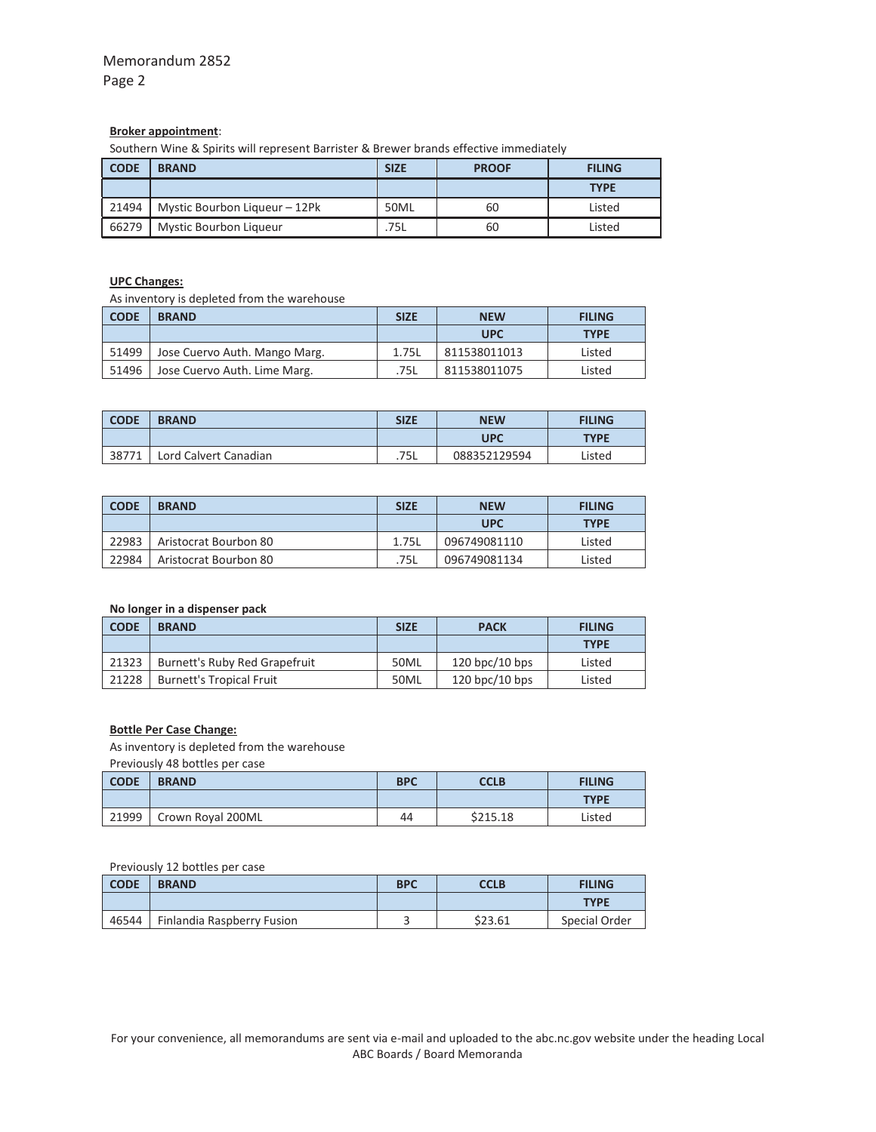#### **Broker appointment**:

Southern Wine & Spirits will represent Barrister & Brewer brands effective immediately

| <b>CODE</b> | <b>BRAND</b>                  | <b>SIZE</b> | <b>PROOF</b> | <b>FILING</b> |
|-------------|-------------------------------|-------------|--------------|---------------|
|             |                               |             |              | <b>TYPE</b>   |
| 21494       | Mystic Bourbon Liqueur - 12Pk | 50ML        | 60           | Listed        |
| 66279       | <b>Mystic Bourbon Liqueur</b> | .75L        | 60           | Listed        |

### **UPC Changes:**

As inventory is depleted from the warehouse

| <b>CODE</b> | <b>BRAND</b>                  | <b>SIZE</b> | <b>NEW</b>   | <b>FILING</b> |
|-------------|-------------------------------|-------------|--------------|---------------|
|             |                               |             | <b>UPC</b>   | <b>TYPE</b>   |
| 51499       | Jose Cuervo Auth. Mango Marg. | 1.75L       | 811538011013 | Listed        |
| 51496       | Jose Cuervo Auth. Lime Marg.  | .75L        | 811538011075 | Listed        |

| <b>CODE</b> | <b>BRAND</b>          | <b>SIZE</b> | <b>NEW</b>   | <b>FILING</b> |
|-------------|-----------------------|-------------|--------------|---------------|
|             |                       |             | UPC          | <b>TYPE</b>   |
| 38771       | Lord Calvert Canadian | .75L        | 088352129594 | Listed        |

| <b>CODE</b> | <b>BRAND</b>          | <b>SIZE</b> | <b>NEW</b>   | <b>FILING</b> |
|-------------|-----------------------|-------------|--------------|---------------|
|             |                       |             | <b>UPC</b>   | <b>TYPE</b>   |
| 22983       | Aristocrat Bourbon 80 | 1.75L       | 096749081110 | Listed        |
| 22984       | Aristocrat Bourbon 80 | 75L         | 096749081134 | Listed        |

### **No longer in a dispenser pack**

| <b>CODE</b> | <b>BRAND</b>                    | <b>SIZE</b> | <b>PACK</b>      | <b>FILING</b> |
|-------------|---------------------------------|-------------|------------------|---------------|
|             |                                 |             |                  | <b>TYPE</b>   |
| 21323       | Burnett's Ruby Red Grapefruit   | 50ML        | $120$ bpc/10 bps | Listed        |
| 21228       | <b>Burnett's Tropical Fruit</b> | 50ML        | $120$ bpc/10 bps | Listed        |

### **Bottle Per Case Change:**

As inventory is depleted from the warehouse

Previously 48 bottles per case

| <b>CODE</b> | <b>BRAND</b>      | <b>BPC</b> | <b>CCLB</b> | <b>FILING</b> |
|-------------|-------------------|------------|-------------|---------------|
|             |                   |            |             | <b>TYPE</b>   |
| 21999       | Crown Royal 200ML | 44         | \$215.18    | Listed        |

#### Previously 12 bottles per case

| <b>CODE</b> | <b>BRAND</b>               | <b>BPC</b> | <b>CCLB</b> | <b>FILING</b> |
|-------------|----------------------------|------------|-------------|---------------|
|             |                            |            |             | <b>TYPE</b>   |
| 46544       | Finlandia Raspberry Fusion |            | \$23.61     | Special Order |